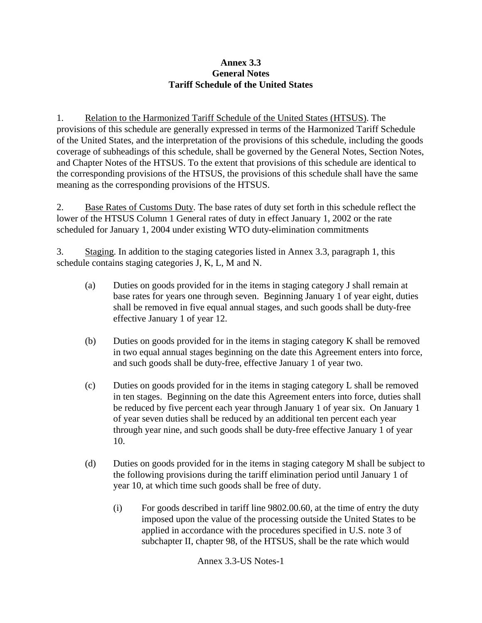### **Annex 3.3 General Notes Tariff Schedule of the United States**

1. Relation to the Harmonized Tariff Schedule of the United States (HTSUS). The provisions of this schedule are generally expressed in terms of the Harmonized Tariff Schedule of the United States, and the interpretation of the provisions of this schedule, including the goods coverage of subheadings of this schedule, shall be governed by the General Notes, Section Notes, and Chapter Notes of the HTSUS. To the extent that provisions of this schedule are identical to the corresponding provisions of the HTSUS, the provisions of this schedule shall have the same meaning as the corresponding provisions of the HTSUS.

2. Base Rates of Customs Duty. The base rates of duty set forth in this schedule reflect the lower of the HTSUS Column 1 General rates of duty in effect January 1, 2002 or the rate scheduled for January 1, 2004 under existing WTO duty-elimination commitments

3. Staging. In addition to the staging categories listed in Annex 3.3, paragraph 1, this schedule contains staging categories J, K, L, M and N.

- (a) Duties on goods provided for in the items in staging category J shall remain at base rates for years one through seven. Beginning January 1 of year eight, duties shall be removed in five equal annual stages, and such goods shall be duty-free effective January 1 of year 12.
- (b) Duties on goods provided for in the items in staging category K shall be removed in two equal annual stages beginning on the date this Agreement enters into force, and such goods shall be duty-free, effective January 1 of year two.
- (c) Duties on goods provided for in the items in staging category L shall be removed in ten stages. Beginning on the date this Agreement enters into force, duties shall be reduced by five percent each year through January 1 of year six. On January 1 of year seven duties shall be reduced by an additional ten percent each year through year nine, and such goods shall be duty-free effective January 1 of year 10.
- (d) Duties on goods provided for in the items in staging category M shall be subject to the following provisions during the tariff elimination period until January 1 of year 10, at which time such goods shall be free of duty.
	- (i) For goods described in tariff line 9802.00.60, at the time of entry the duty imposed upon the value of the processing outside the United States to be applied in accordance with the procedures specified in U.S. note 3 of subchapter II, chapter 98, of the HTSUS, shall be the rate which would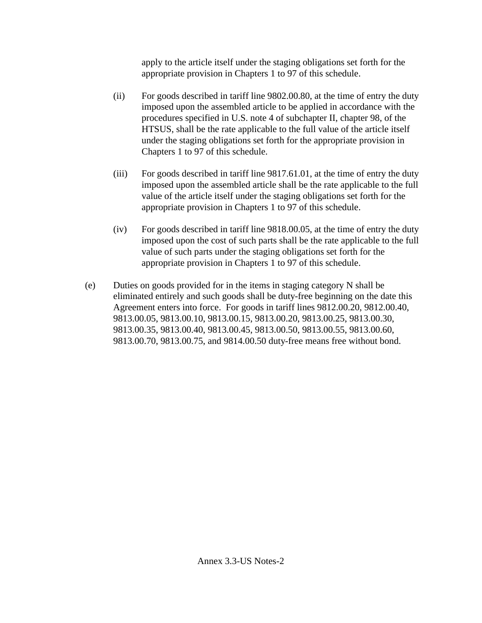apply to the article itself under the staging obligations set forth for the appropriate provision in Chapters 1 to 97 of this schedule.

- (ii) For goods described in tariff line 9802.00.80, at the time of entry the duty imposed upon the assembled article to be applied in accordance with the procedures specified in U.S. note 4 of subchapter II, chapter 98, of the HTSUS, shall be the rate applicable to the full value of the article itself under the staging obligations set forth for the appropriate provision in Chapters 1 to 97 of this schedule.
- (iii) For goods described in tariff line 9817.61.01, at the time of entry the duty imposed upon the assembled article shall be the rate applicable to the full value of the article itself under the staging obligations set forth for the appropriate provision in Chapters 1 to 97 of this schedule.
- (iv) For goods described in tariff line 9818.00.05, at the time of entry the duty imposed upon the cost of such parts shall be the rate applicable to the full value of such parts under the staging obligations set forth for the appropriate provision in Chapters 1 to 97 of this schedule.
- (e) Duties on goods provided for in the items in staging category N shall be eliminated entirely and such goods shall be duty-free beginning on the date this Agreement enters into force. For goods in tariff lines 9812.00.20, 9812.00.40, 9813.00.05, 9813.00.10, 9813.00.15, 9813.00.20, 9813.00.25, 9813.00.30, 9813.00.35, 9813.00.40, 9813.00.45, 9813.00.50, 9813.00.55, 9813.00.60, 9813.00.70, 9813.00.75, and 9814.00.50 duty-free means free without bond.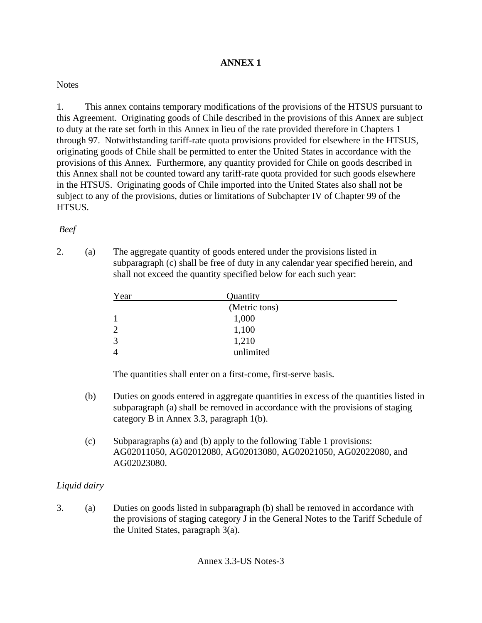# **ANNEX 1**

## **Notes**

1. This annex contains temporary modifications of the provisions of the HTSUS pursuant to this Agreement. Originating goods of Chile described in the provisions of this Annex are subject to duty at the rate set forth in this Annex in lieu of the rate provided therefore in Chapters 1 through 97. Notwithstanding tariff-rate quota provisions provided for elsewhere in the HTSUS, originating goods of Chile shall be permitted to enter the United States in accordance with the provisions of this Annex. Furthermore, any quantity provided for Chile on goods described in this Annex shall not be counted toward any tariff-rate quota provided for such goods elsewhere in the HTSUS. Originating goods of Chile imported into the United States also shall not be subject to any of the provisions, duties or limitations of Subchapter IV of Chapter 99 of the HTSUS.

## *Beef*

2. (a) The aggregate quantity of goods entered under the provisions listed in subparagraph (c) shall be free of duty in any calendar year specified herein, and shall not exceed the quantity specified below for each such year:

| Year           | Quantity      |  |
|----------------|---------------|--|
|                | (Metric tons) |  |
|                | 1,000         |  |
| $\overline{2}$ | 1,100         |  |
| 3              | 1,210         |  |
| 4              | unlimited     |  |

The quantities shall enter on a first-come, first-serve basis.

- (b) Duties on goods entered in aggregate quantities in excess of the quantities listed in subparagraph (a) shall be removed in accordance with the provisions of staging category B in Annex 3.3, paragraph 1(b).
- (c) Subparagraphs (a) and (b) apply to the following Table 1 provisions: AG02011050, AG02012080, AG02013080, AG02021050, AG02022080, and AG02023080.

# *Liquid dairy*

3. (a) Duties on goods listed in subparagraph (b) shall be removed in accordance with the provisions of staging category J in the General Notes to the Tariff Schedule of the United States, paragraph 3(a).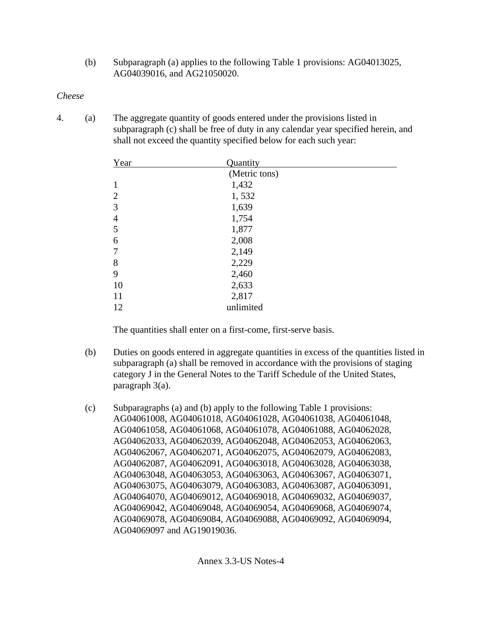(b) Subparagraph (a) applies to the following Table 1 provisions: AG04013025, AG04039016, and AG21050020.

## *Cheese*

4. (a) The aggregate quantity of goods entered under the provisions listed in subparagraph (c) shall be free of duty in any calendar year specified herein, and shall not exceed the quantity specified below for each such year:

| Year           | Quantity      |  |
|----------------|---------------|--|
|                | (Metric tons) |  |
| 1              | 1,432         |  |
| $\overline{2}$ | 1,532         |  |
| 3              | 1,639         |  |
| $\overline{4}$ | 1,754         |  |
| 5              | 1,877         |  |
| 6              | 2,008         |  |
| 7              | 2,149         |  |
| 8              | 2,229         |  |
| 9              | 2,460         |  |
| 10             | 2,633         |  |
| 11             | 2,817         |  |
| 12             | unlimited     |  |

The quantities shall enter on a first-come, first-serve basis.

- (b) Duties on goods entered in aggregate quantities in excess of the quantities listed in subparagraph (a) shall be removed in accordance with the provisions of staging category J in the General Notes to the Tariff Schedule of the United States, paragraph 3(a).
- (c) Subparagraphs (a) and (b) apply to the following Table 1 provisions: AG04061008, AG04061018, AG04061028, AG04061038, AG04061048, AG04061058, AG04061068, AG04061078, AG04061088, AG04062028, AG04062033, AG04062039, AG04062048, AG04062053, AG04062063, AG04062067, AG04062071, AG04062075, AG04062079, AG04062083, AG04062087, AG04062091, AG04063018, AG04063028, AG04063038, AG04063048, AG04063053, AG04063063, AG04063067, AG04063071, AG04063075, AG04063079, AG04063083, AG04063087, AG04063091, AG04064070, AG04069012, AG04069018, AG04069032, AG04069037, AG04069042, AG04069048, AG04069054, AG04069068, AG04069074, AG04069078, AG04069084, AG04069088, AG04069092, AG04069094, AG04069097 and AG19019036.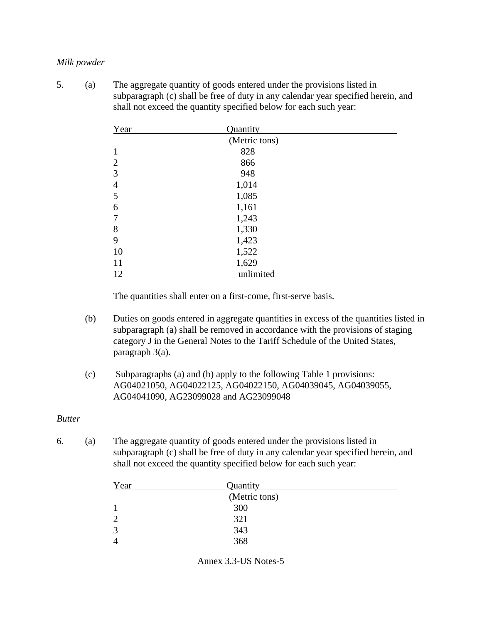### *Milk powder*

5. (a) The aggregate quantity of goods entered under the provisions listed in subparagraph (c) shall be free of duty in any calendar year specified herein, and shall not exceed the quantity specified below for each such year:

| Year           | Quantity      |  |
|----------------|---------------|--|
|                | (Metric tons) |  |
| 1              | 828           |  |
| $\overline{2}$ | 866           |  |
| 3              | 948           |  |
| $\overline{4}$ | 1,014         |  |
| 5              | 1,085         |  |
| 6              | 1,161         |  |
|                | 1,243         |  |
| 8              | 1,330         |  |
| 9              | 1,423         |  |
| 10             | 1,522         |  |
| 11             | 1,629         |  |
| 12             | unlimited     |  |

The quantities shall enter on a first-come, first-serve basis.

- (b) Duties on goods entered in aggregate quantities in excess of the quantities listed in subparagraph (a) shall be removed in accordance with the provisions of staging category J in the General Notes to the Tariff Schedule of the United States, paragraph 3(a).
- (c) Subparagraphs (a) and (b) apply to the following Table 1 provisions: AG04021050, AG04022125, AG04022150, AG04039045, AG04039055, AG04041090, AG23099028 and AG23099048

### *Butter*

6. (a) The aggregate quantity of goods entered under the provisions listed in subparagraph (c) shall be free of duty in any calendar year specified herein, and shall not exceed the quantity specified below for each such year:

| Year | Quantity      |  |
|------|---------------|--|
|      | (Metric tons) |  |
|      | 300           |  |
|      | 321           |  |
| っ    | 343           |  |
|      | 368           |  |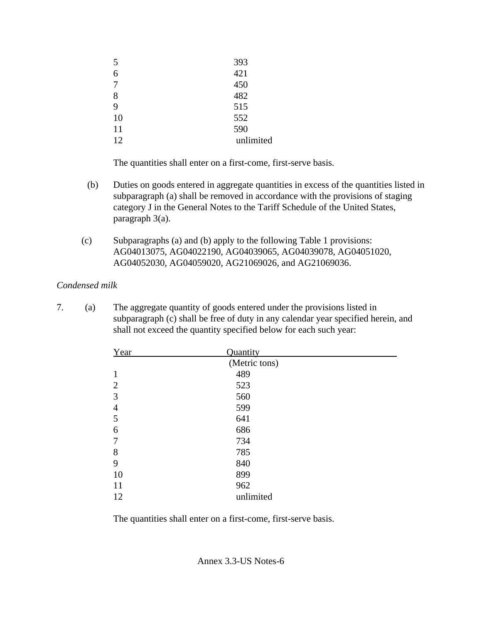| 5              | 393       |
|----------------|-----------|
| 6              | 421       |
| $\overline{7}$ | 450       |
| 8              | 482       |
| 9              | 515       |
| 10             | 552       |
| 11             | 590       |
| 12             | unlimited |
|                |           |

The quantities shall enter on a first-come, first-serve basis.

- (b) Duties on goods entered in aggregate quantities in excess of the quantities listed in subparagraph (a) shall be removed in accordance with the provisions of staging category J in the General Notes to the Tariff Schedule of the United States, paragraph 3(a).
- (c) Subparagraphs (a) and (b) apply to the following Table 1 provisions: AG04013075, AG04022190, AG04039065, AG04039078, AG04051020, AG04052030, AG04059020, AG21069026, and AG21069036.

### *Condensed milk*

7. (a) The aggregate quantity of goods entered under the provisions listed in subparagraph (c) shall be free of duty in any calendar year specified herein, and shall not exceed the quantity specified below for each such year:

| Year           | Quantity      |
|----------------|---------------|
|                | (Metric tons) |
| $\mathbf{1}$   | 489           |
| $\overline{2}$ | 523           |
| 3              | 560           |
| $\overline{4}$ | 599           |
| 5              | 641           |
| 6              | 686           |
| 7              | 734           |
| 8              | 785           |
| 9              | 840           |
| 10             | 899           |
| 11             | 962           |
| 12             | unlimited     |

The quantities shall enter on a first-come, first-serve basis.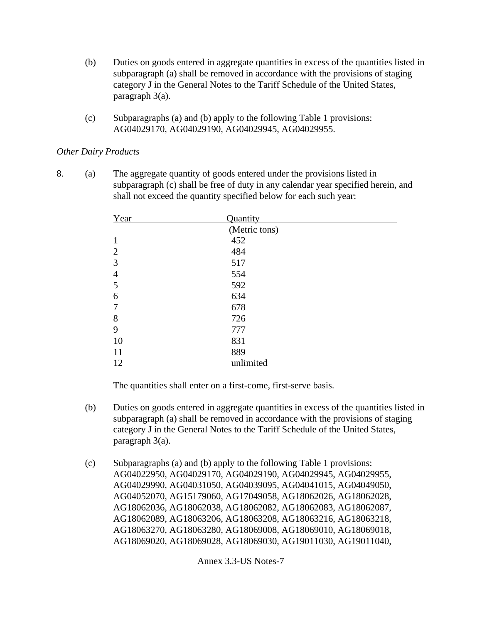- (b) Duties on goods entered in aggregate quantities in excess of the quantities listed in subparagraph (a) shall be removed in accordance with the provisions of staging category J in the General Notes to the Tariff Schedule of the United States, paragraph 3(a).
- (c) Subparagraphs (a) and (b) apply to the following Table 1 provisions: AG04029170, AG04029190, AG04029945, AG04029955.

### *Other Dairy Products*

8. (a) The aggregate quantity of goods entered under the provisions listed in subparagraph (c) shall be free of duty in any calendar year specified herein, and shall not exceed the quantity specified below for each such year:

| Year           | Quantity      |
|----------------|---------------|
|                | (Metric tons) |
| 1              | 452           |
| $\overline{2}$ | 484           |
| 3              | 517           |
| $\overline{4}$ | 554           |
| 5              | 592           |
| 6              | 634           |
| 7              | 678           |
| 8              | 726           |
| 9              | 777           |
| 10             | 831           |
| 11             | 889           |
| 12             | unlimited     |

The quantities shall enter on a first-come, first-serve basis.

- (b) Duties on goods entered in aggregate quantities in excess of the quantities listed in subparagraph (a) shall be removed in accordance with the provisions of staging category J in the General Notes to the Tariff Schedule of the United States, paragraph 3(a).
- (c) Subparagraphs (a) and (b) apply to the following Table 1 provisions: AG04022950, AG04029170, AG04029190, AG04029945, AG04029955, AG04029990, AG04031050, AG04039095, AG04041015, AG04049050, AG04052070, AG15179060, AG17049058, AG18062026, AG18062028, AG18062036, AG18062038, AG18062082, AG18062083, AG18062087, AG18062089, AG18063206, AG18063208, AG18063216, AG18063218, AG18063270, AG18063280, AG18069008, AG18069010, AG18069018, AG18069020, AG18069028, AG18069030, AG19011030, AG19011040,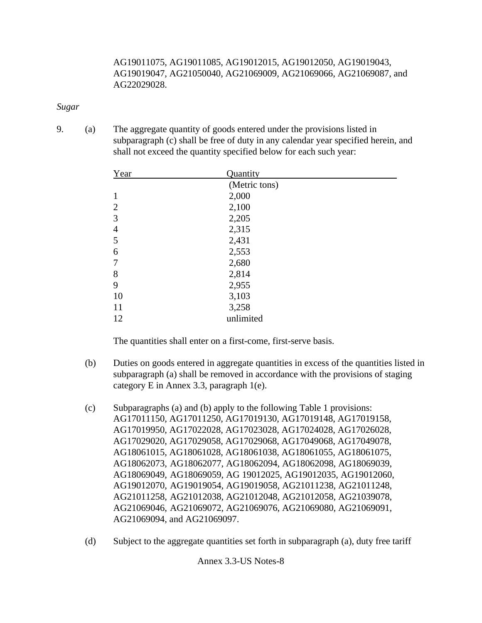AG19011075, AG19011085, AG19012015, AG19012050, AG19019043, AG19019047, AG21050040, AG21069009, AG21069066, AG21069087, and AG22029028.

#### *Sugar*

9. (a) The aggregate quantity of goods entered under the provisions listed in subparagraph (c) shall be free of duty in any calendar year specified herein, and shall not exceed the quantity specified below for each such year:

| Year           | Quantity      |  |
|----------------|---------------|--|
|                | (Metric tons) |  |
| $\mathbf{1}$   | 2,000         |  |
| $\overline{2}$ | 2,100         |  |
| 3              | 2,205         |  |
| $\overline{4}$ | 2,315         |  |
| 5              | 2,431         |  |
| 6              | 2,553         |  |
| 7              | 2,680         |  |
| 8              | 2,814         |  |
| 9              | 2,955         |  |
| 10             | 3,103         |  |
| 11             | 3,258         |  |
| 12             | unlimited     |  |

The quantities shall enter on a first-come, first-serve basis.

- (b) Duties on goods entered in aggregate quantities in excess of the quantities listed in subparagraph (a) shall be removed in accordance with the provisions of staging category E in Annex 3.3, paragraph 1(e).
- (c) Subparagraphs (a) and (b) apply to the following Table 1 provisions: AG17011150, AG17011250, AG17019130, AG17019148, AG17019158, AG17019950, AG17022028, AG17023028, AG17024028, AG17026028, AG17029020, AG17029058, AG17029068, AG17049068, AG17049078, AG18061015, AG18061028, AG18061038, AG18061055, AG18061075, AG18062073, AG18062077, AG18062094, AG18062098, AG18069039, AG18069049, AG18069059, AG 19012025, AG19012035, AG19012060, AG19012070, AG19019054, AG19019058, AG21011238, AG21011248, AG21011258, AG21012038, AG21012048, AG21012058, AG21039078, AG21069046, AG21069072, AG21069076, AG21069080, AG21069091, AG21069094, and AG21069097.
- (d) Subject to the aggregate quantities set forth in subparagraph (a), duty free tariff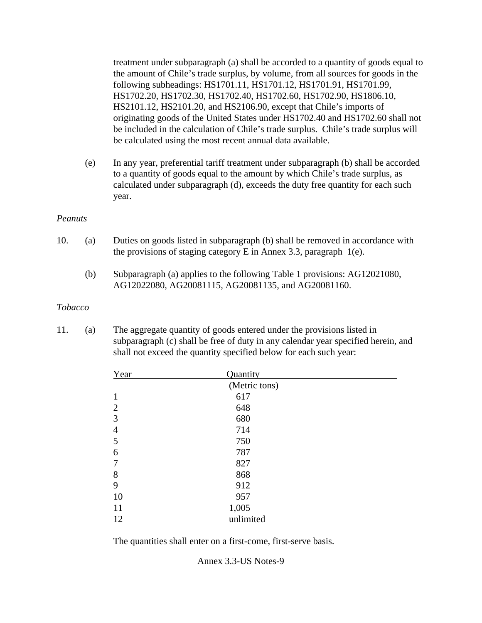treatment under subparagraph (a) shall be accorded to a quantity of goods equal to the amount of Chile's trade surplus, by volume, from all sources for goods in the following subheadings: HS1701.11, HS1701.12, HS1701.91, HS1701.99, HS1702.20, HS1702.30, HS1702.40, HS1702.60, HS1702.90, HS1806.10, HS2101.12, HS2101.20, and HS2106.90, except that Chile's imports of originating goods of the United States under HS1702.40 and HS1702.60 shall not be included in the calculation of Chile's trade surplus. Chile's trade surplus will be calculated using the most recent annual data available.

(e) In any year, preferential tariff treatment under subparagraph (b) shall be accorded to a quantity of goods equal to the amount by which Chile's trade surplus, as calculated under subparagraph (d), exceeds the duty free quantity for each such year.

#### *Peanuts*

- 10. (a) Duties on goods listed in subparagraph (b) shall be removed in accordance with the provisions of staging category E in Annex 3.3, paragraph 1(e).
	- (b) Subparagraph (a) applies to the following Table 1 provisions: AG12021080, AG12022080, AG20081115, AG20081135, and AG20081160.

### *Tobacco*

11. (a) The aggregate quantity of goods entered under the provisions listed in subparagraph (c) shall be free of duty in any calendar year specified herein, and shall not exceed the quantity specified below for each such year:

| Year           | Quantity      |  |
|----------------|---------------|--|
|                | (Metric tons) |  |
| 1              | 617           |  |
| $\overline{2}$ | 648           |  |
| 3              | 680           |  |
| $\overline{4}$ | 714           |  |
| 5              | 750           |  |
| 6              | 787           |  |
| 7              | 827           |  |
| 8              | 868           |  |
| 9              | 912           |  |
| 10             | 957           |  |
| 11             | 1,005         |  |
| 12             | unlimited     |  |

The quantities shall enter on a first-come, first-serve basis.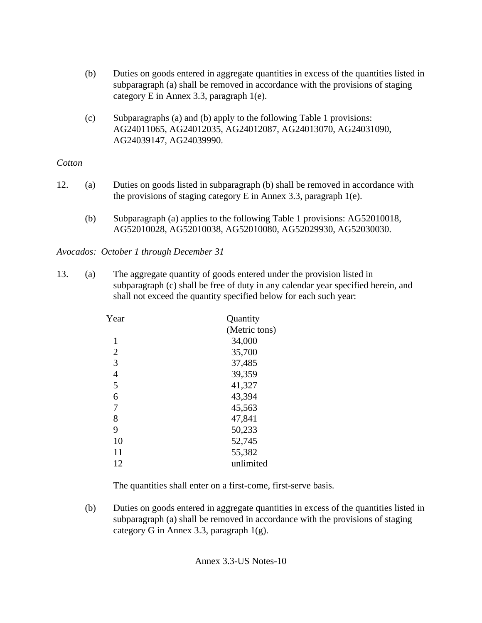- (b) Duties on goods entered in aggregate quantities in excess of the quantities listed in subparagraph (a) shall be removed in accordance with the provisions of staging category E in Annex 3.3, paragraph 1(e).
- (c) Subparagraphs (a) and (b) apply to the following Table 1 provisions: AG24011065, AG24012035, AG24012087, AG24013070, AG24031090, AG24039147, AG24039990.

## *Cotton*

- 12. (a) Duties on goods listed in subparagraph (b) shall be removed in accordance with the provisions of staging category E in Annex 3.3, paragraph 1(e).
	- (b) Subparagraph (a) applies to the following Table 1 provisions: AG52010018, AG52010028, AG52010038, AG52010080, AG52029930, AG52030030.

*Avocados: October 1 through December 31*

13. (a) The aggregate quantity of goods entered under the provision listed in subparagraph (c) shall be free of duty in any calendar year specified herein, and shall not exceed the quantity specified below for each such year:

| Year           | Quantity      |  |
|----------------|---------------|--|
|                | (Metric tons) |  |
| 1              | 34,000        |  |
| $\overline{2}$ | 35,700        |  |
| 3              | 37,485        |  |
| $\overline{4}$ | 39,359        |  |
| 5              | 41,327        |  |
| 6              | 43,394        |  |
| 7              | 45,563        |  |
| 8              | 47,841        |  |
| 9              | 50,233        |  |
| 10             | 52,745        |  |
| 11             | 55,382        |  |
| 12             | unlimited     |  |

The quantities shall enter on a first-come, first-serve basis.

(b) Duties on goods entered in aggregate quantities in excess of the quantities listed in subparagraph (a) shall be removed in accordance with the provisions of staging category G in Annex 3.3, paragraph 1(g).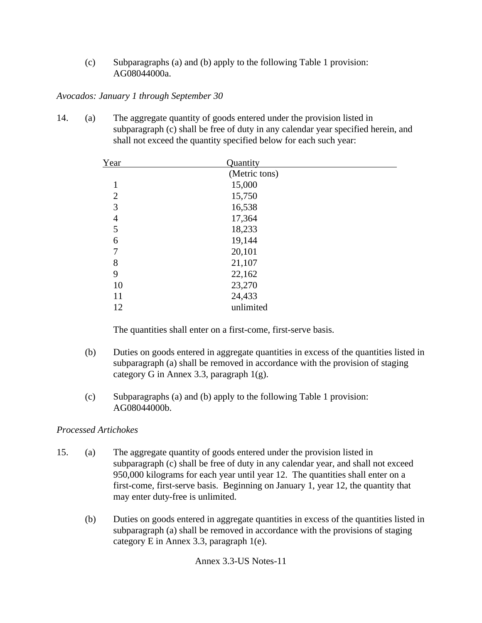(c) Subparagraphs (a) and (b) apply to the following Table 1 provision: AG08044000a.

### *Avocados: January 1 through September 30*

14. (a) The aggregate quantity of goods entered under the provision listed in subparagraph (c) shall be free of duty in any calendar year specified herein, and shall not exceed the quantity specified below for each such year:

| Year           | Quantity      |  |
|----------------|---------------|--|
|                | (Metric tons) |  |
| 1              | 15,000        |  |
| $\overline{2}$ | 15,750        |  |
| 3              | 16,538        |  |
| 4              | 17,364        |  |
| 5              | 18,233        |  |
| 6              | 19,144        |  |
| 7              | 20,101        |  |
| 8              | 21,107        |  |
| 9              | 22,162        |  |
| 10             | 23,270        |  |
| 11             | 24,433        |  |
| 12             | unlimited     |  |

The quantities shall enter on a first-come, first-serve basis.

- (b) Duties on goods entered in aggregate quantities in excess of the quantities listed in subparagraph (a) shall be removed in accordance with the provision of staging category G in Annex 3.3, paragraph 1(g).
- (c) Subparagraphs (a) and (b) apply to the following Table 1 provision: AG08044000b.

## *Processed Artichokes*

- 15. (a) The aggregate quantity of goods entered under the provision listed in subparagraph (c) shall be free of duty in any calendar year, and shall not exceed 950,000 kilograms for each year until year 12. The quantities shall enter on a first-come, first-serve basis. Beginning on January 1, year 12, the quantity that may enter duty-free is unlimited.
	- (b) Duties on goods entered in aggregate quantities in excess of the quantities listed in subparagraph (a) shall be removed in accordance with the provisions of staging category E in Annex 3.3, paragraph 1(e).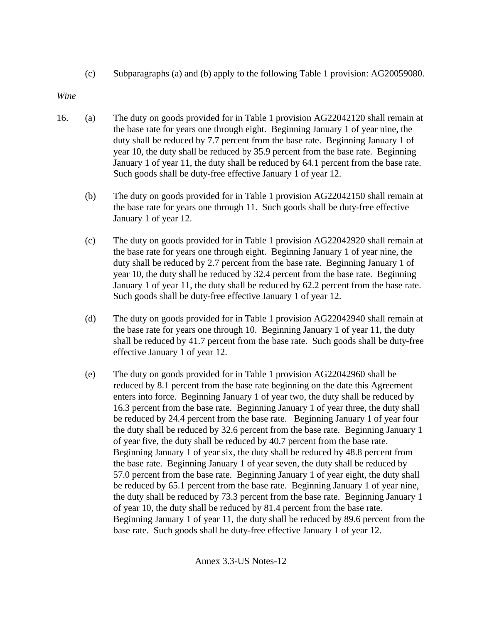(c) Subparagraphs (a) and (b) apply to the following Table 1 provision: AG20059080.

*Wine*

- 16. (a) The duty on goods provided for in Table 1 provision AG22042120 shall remain at the base rate for years one through eight. Beginning January 1 of year nine, the duty shall be reduced by 7.7 percent from the base rate. Beginning January 1 of year 10, the duty shall be reduced by 35.9 percent from the base rate. Beginning January 1 of year 11, the duty shall be reduced by 64.1 percent from the base rate. Such goods shall be duty-free effective January 1 of year 12.
	- (b) The duty on goods provided for in Table 1 provision AG22042150 shall remain at the base rate for years one through 11. Such goods shall be duty-free effective January 1 of year 12.
	- (c) The duty on goods provided for in Table 1 provision AG22042920 shall remain at the base rate for years one through eight. Beginning January 1 of year nine, the duty shall be reduced by 2.7 percent from the base rate. Beginning January 1 of year 10, the duty shall be reduced by 32.4 percent from the base rate. Beginning January 1 of year 11, the duty shall be reduced by 62.2 percent from the base rate. Such goods shall be duty-free effective January 1 of year 12.
	- (d) The duty on goods provided for in Table 1 provision AG22042940 shall remain at the base rate for years one through 10. Beginning January 1 of year 11, the duty shall be reduced by 41.7 percent from the base rate. Such goods shall be duty-free effective January 1 of year 12.
	- (e) The duty on goods provided for in Table 1 provision AG22042960 shall be reduced by 8.1 percent from the base rate beginning on the date this Agreement enters into force. Beginning January 1 of year two, the duty shall be reduced by 16.3 percent from the base rate. Beginning January 1 of year three, the duty shall be reduced by 24.4 percent from the base rate. Beginning January 1 of year four the duty shall be reduced by 32.6 percent from the base rate. Beginning January 1 of year five, the duty shall be reduced by 40.7 percent from the base rate. Beginning January 1 of year six, the duty shall be reduced by 48.8 percent from the base rate. Beginning January 1 of year seven, the duty shall be reduced by 57.0 percent from the base rate. Beginning January 1 of year eight, the duty shall be reduced by 65.1 percent from the base rate. Beginning January 1 of year nine, the duty shall be reduced by 73.3 percent from the base rate. Beginning January 1 of year 10, the duty shall be reduced by 81.4 percent from the base rate. Beginning January 1 of year 11, the duty shall be reduced by 89.6 percent from the base rate. Such goods shall be duty-free effective January 1 of year 12.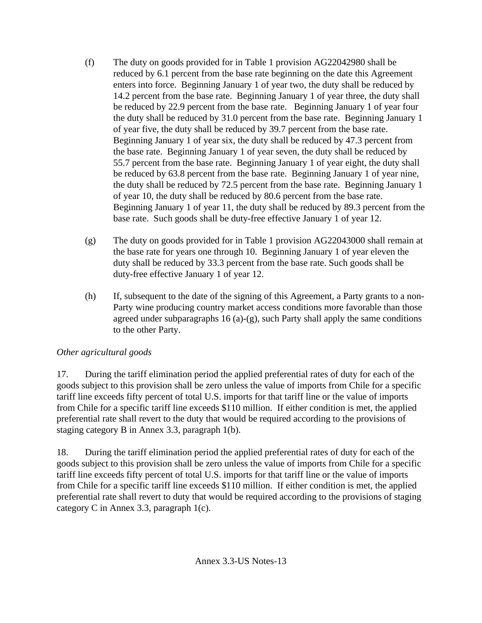- (f) The duty on goods provided for in Table 1 provision AG22042980 shall be reduced by 6.1 percent from the base rate beginning on the date this Agreement enters into force. Beginning January 1 of year two, the duty shall be reduced by 14.2 percent from the base rate. Beginning January 1 of year three, the duty shall be reduced by 22.9 percent from the base rate. Beginning January 1 of year four the duty shall be reduced by 31.0 percent from the base rate. Beginning January 1 of year five, the duty shall be reduced by 39.7 percent from the base rate. Beginning January 1 of year six, the duty shall be reduced by 47.3 percent from the base rate. Beginning January 1 of year seven, the duty shall be reduced by 55.7 percent from the base rate. Beginning January 1 of year eight, the duty shall be reduced by 63.8 percent from the base rate. Beginning January 1 of year nine, the duty shall be reduced by 72.5 percent from the base rate. Beginning January 1 of year 10, the duty shall be reduced by 80.6 percent from the base rate. Beginning January 1 of year 11, the duty shall be reduced by 89.3 percent from the base rate. Such goods shall be duty-free effective January 1 of year 12.
- (g) The duty on goods provided for in Table 1 provision AG22043000 shall remain at the base rate for years one through 10. Beginning January 1 of year eleven the duty shall be reduced by 33.3 percent from the base rate. Such goods shall be duty-free effective January 1 of year 12.
- (h) If, subsequent to the date of the signing of this Agreement, a Party grants to a non-Party wine producing country market access conditions more favorable than those agreed under subparagraphs 16 (a)-(g), such Party shall apply the same conditions to the other Party.

# *Other agricultural goods*

17. During the tariff elimination period the applied preferential rates of duty for each of the goods subject to this provision shall be zero unless the value of imports from Chile for a specific tariff line exceeds fifty percent of total U.S. imports for that tariff line or the value of imports from Chile for a specific tariff line exceeds \$110 million. If either condition is met, the applied preferential rate shall revert to the duty that would be required according to the provisions of staging category B in Annex 3.3, paragraph 1(b).

18. During the tariff elimination period the applied preferential rates of duty for each of the goods subject to this provision shall be zero unless the value of imports from Chile for a specific tariff line exceeds fifty percent of total U.S. imports for that tariff line or the value of imports from Chile for a specific tariff line exceeds \$110 million. If either condition is met, the applied preferential rate shall revert to duty that would be required according to the provisions of staging category C in Annex 3.3, paragraph 1(c).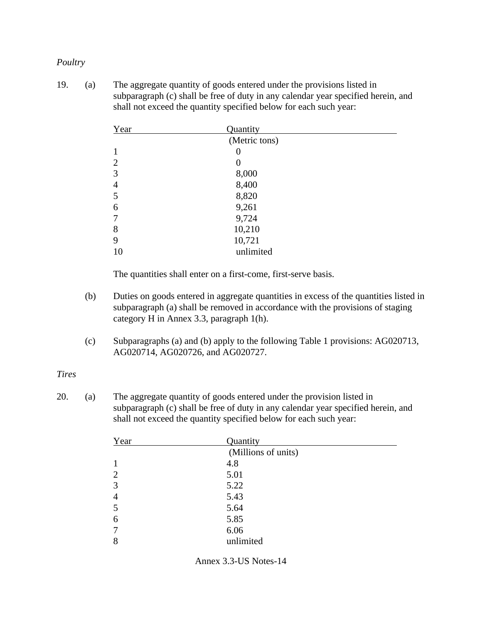### *Poultry*

19. (a) The aggregate quantity of goods entered under the provisions listed in subparagraph (c) shall be free of duty in any calendar year specified herein, and shall not exceed the quantity specified below for each such year:

| Year           | Quantity      |  |
|----------------|---------------|--|
|                | (Metric tons) |  |
|                | 0             |  |
| $\overline{2}$ | 0             |  |
| 3              | 8,000         |  |
| $\overline{4}$ | 8,400         |  |
| 5              | 8,820         |  |
| 6              | 9,261         |  |
| 7              | 9,724         |  |
| 8              | 10,210        |  |
| 9              | 10,721        |  |
| 10             | unlimited     |  |

The quantities shall enter on a first-come, first-serve basis.

- (b) Duties on goods entered in aggregate quantities in excess of the quantities listed in subparagraph (a) shall be removed in accordance with the provisions of staging category H in Annex 3.3, paragraph 1(h).
- (c) Subparagraphs (a) and (b) apply to the following Table 1 provisions: AG020713, AG020714, AG020726, and AG020727.

#### *Tires*

20. (a) The aggregate quantity of goods entered under the provision listed in subparagraph (c) shall be free of duty in any calendar year specified herein, and shall not exceed the quantity specified below for each such year:

| Year           | Quantity            |
|----------------|---------------------|
|                | (Millions of units) |
| 1              | 4.8                 |
| $\overline{2}$ | 5.01                |
| 3              | 5.22                |
| $\overline{4}$ | 5.43                |
| 5              | 5.64                |
| 6              | 5.85                |
| $\overline{7}$ | 6.06                |
| 8              | unlimited           |

Annex 3.3-US Notes-14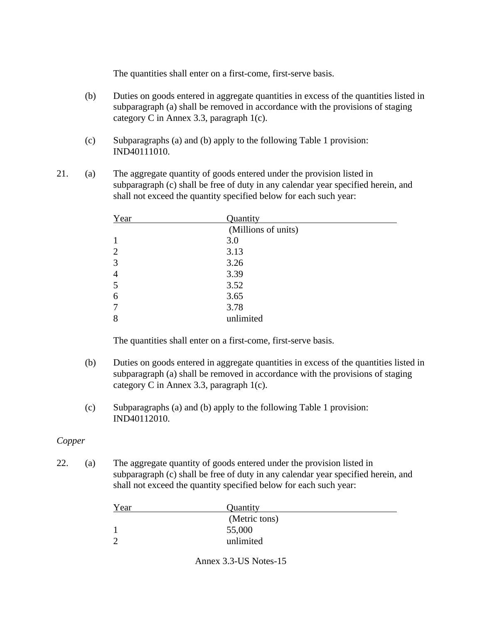The quantities shall enter on a first-come, first-serve basis.

- (b) Duties on goods entered in aggregate quantities in excess of the quantities listed in subparagraph (a) shall be removed in accordance with the provisions of staging category C in Annex 3.3, paragraph 1(c).
- (c) Subparagraphs (a) and (b) apply to the following Table 1 provision: IND40111010.
- 21. (a) The aggregate quantity of goods entered under the provision listed in subparagraph (c) shall be free of duty in any calendar year specified herein, and shall not exceed the quantity specified below for each such year:

| Year           | Quantity            |
|----------------|---------------------|
|                | (Millions of units) |
|                | 3.0                 |
| $\overline{2}$ | 3.13                |
| 3              | 3.26                |
| $\overline{4}$ | 3.39                |
| 5              | 3.52                |
| 6              | 3.65                |
|                | 3.78                |
| 8              | unlimited           |

The quantities shall enter on a first-come, first-serve basis.

- (b) Duties on goods entered in aggregate quantities in excess of the quantities listed in subparagraph (a) shall be removed in accordance with the provisions of staging category C in Annex 3.3, paragraph 1(c).
- (c) Subparagraphs (a) and (b) apply to the following Table 1 provision: IND40112010.

### *Copper*

22. (a) The aggregate quantity of goods entered under the provision listed in subparagraph (c) shall be free of duty in any calendar year specified herein, and shall not exceed the quantity specified below for each such year:

| Year | Quantity      |  |
|------|---------------|--|
|      | (Metric tons) |  |
|      | 55,000        |  |
|      | unlimited     |  |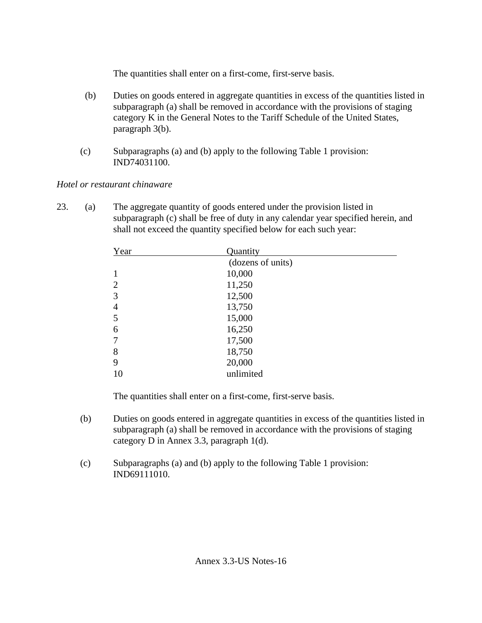The quantities shall enter on a first-come, first-serve basis.

- (b) Duties on goods entered in aggregate quantities in excess of the quantities listed in subparagraph (a) shall be removed in accordance with the provisions of staging category K in the General Notes to the Tariff Schedule of the United States, paragraph 3(b).
- (c) Subparagraphs (a) and (b) apply to the following Table 1 provision: IND74031100.

## *Hotel or restaurant chinaware*

23. (a) The aggregate quantity of goods entered under the provision listed in subparagraph (c) shall be free of duty in any calendar year specified herein, and shall not exceed the quantity specified below for each such year:

| Year           | Quantity          |
|----------------|-------------------|
|                | (dozens of units) |
|                | 10,000            |
| $\overline{2}$ | 11,250            |
| 3              | 12,500            |
| 4              | 13,750            |
| 5              | 15,000            |
| 6              | 16,250            |
|                | 17,500            |
| 8              | 18,750            |
| 9              | 20,000            |
| 10             | unlimited         |

The quantities shall enter on a first-come, first-serve basis.

- (b) Duties on goods entered in aggregate quantities in excess of the quantities listed in subparagraph (a) shall be removed in accordance with the provisions of staging category D in Annex 3.3, paragraph 1(d).
- (c) Subparagraphs (a) and (b) apply to the following Table 1 provision: IND69111010.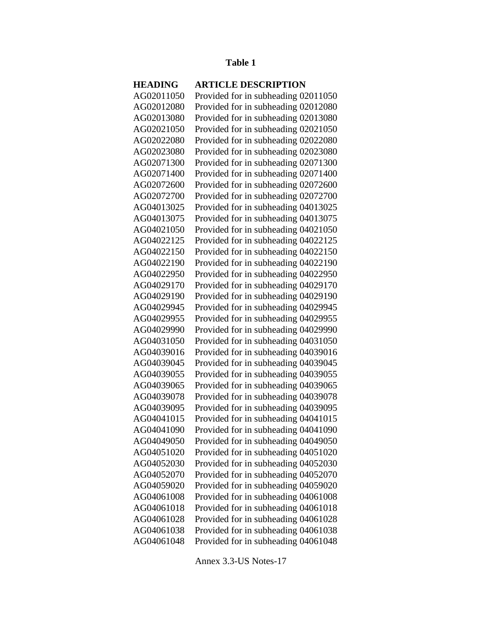#### **Table 1**

### **HEADING ARTICLE DESCRIPTION** AG02011050 Provided for in subheading 02011050 AG02012080 Provided for in subheading 02012080 AG02013080 Provided for in subheading 02013080 AG02021050 Provided for in subheading 02021050 AG02022080 Provided for in subheading 02022080 AG02023080 Provided for in subheading 02023080 AG02071300 Provided for in subheading 02071300 AG02071400 Provided for in subheading 02071400 AG02072600 Provided for in subheading 02072600 AG02072700 Provided for in subheading 02072700 AG04013025 Provided for in subheading 04013025 AG04013075 Provided for in subheading 04013075 AG04021050 Provided for in subheading 04021050 AG04022125 Provided for in subheading 04022125 AG04022150 Provided for in subheading 04022150 AG04022190 Provided for in subheading 04022190 AG04022950 Provided for in subheading 04022950 AG04029170 Provided for in subheading 04029170 AG04029190 Provided for in subheading 04029190 AG04029945 Provided for in subheading 04029945 AG04029955 Provided for in subheading 04029955 AG04029990 Provided for in subheading 04029990 AG04031050 Provided for in subheading 04031050 AG04039016 Provided for in subheading 04039016 AG04039045 Provided for in subheading 04039045 AG04039055 Provided for in subheading 04039055 AG04039065 Provided for in subheading 04039065 AG04039078 Provided for in subheading 04039078 AG04039095 Provided for in subheading 04039095 AG04041015 Provided for in subheading 04041015 AG04041090 Provided for in subheading 04041090 AG04049050 Provided for in subheading 04049050 AG04051020 Provided for in subheading 04051020 AG04052030 Provided for in subheading 04052030 AG04052070 Provided for in subheading 04052070 AG04059020 Provided for in subheading 04059020 AG04061008 Provided for in subheading 04061008 AG04061018 Provided for in subheading 04061018 AG04061028 Provided for in subheading 04061028 AG04061038 Provided for in subheading 04061038 AG04061048 Provided for in subheading 04061048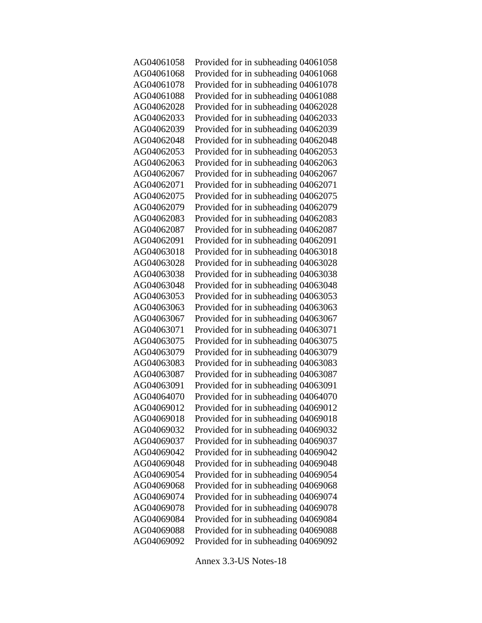AG04061058 Provided for in subheading 04061058 AG04061068 Provided for in subheading 04061068 AG04061078 Provided for in subheading 04061078 AG04061088 Provided for in subheading 04061088 AG04062028 Provided for in subheading 04062028 AG04062033 Provided for in subheading 04062033 AG04062039 Provided for in subheading 04062039 AG04062048 Provided for in subheading 04062048 AG04062053 Provided for in subheading 04062053 AG04062063 Provided for in subheading 04062063 AG04062067 Provided for in subheading 04062067 AG04062071 Provided for in subheading 04062071 AG04062075 Provided for in subheading 04062075 AG04062079 Provided for in subheading 04062079 AG04062083 Provided for in subheading 04062083 AG04062087 Provided for in subheading 04062087 AG04062091 Provided for in subheading 04062091 AG04063018 Provided for in subheading 04063018 AG04063028 Provided for in subheading 04063028 AG04063038 Provided for in subheading 04063038 AG04063048 Provided for in subheading 04063048 AG04063053 Provided for in subheading 04063053 AG04063063 Provided for in subheading 04063063 AG04063067 Provided for in subheading 04063067 AG04063071 Provided for in subheading 04063071 AG04063075 Provided for in subheading 04063075 AG04063079 Provided for in subheading 04063079 AG04063083 Provided for in subheading 04063083 AG04063087 Provided for in subheading 04063087 AG04063091 Provided for in subheading 04063091 AG04064070 Provided for in subheading 04064070 AG04069012 Provided for in subheading 04069012 AG04069018 Provided for in subheading 04069018 AG04069032 Provided for in subheading 04069032 AG04069037 Provided for in subheading 04069037 AG04069042 Provided for in subheading 04069042 AG04069048 Provided for in subheading 04069048 AG04069054 Provided for in subheading 04069054 AG04069068 Provided for in subheading 04069068 AG04069074 Provided for in subheading 04069074 AG04069078 Provided for in subheading 04069078 AG04069084 Provided for in subheading 04069084 AG04069088 Provided for in subheading 04069088 AG04069092 Provided for in subheading 04069092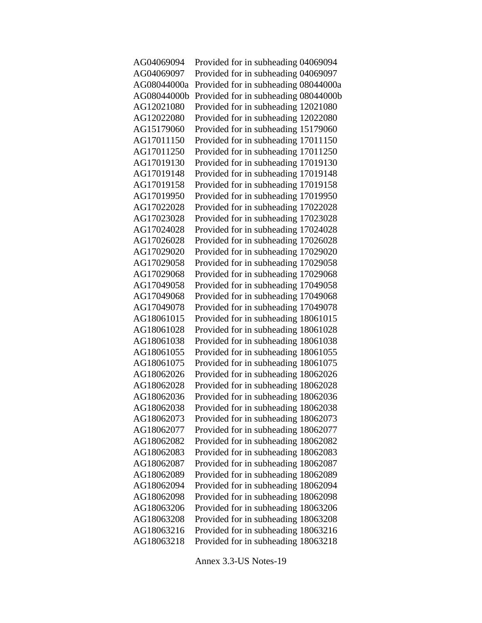| AG04069094  | Provided for in subheading 04069094  |
|-------------|--------------------------------------|
| AG04069097  | Provided for in subheading 04069097  |
| AG08044000a | Provided for in subheading 08044000a |
| AG08044000b | Provided for in subheading 08044000b |
| AG12021080  | Provided for in subheading 12021080  |
| AG12022080  | Provided for in subheading 12022080  |
| AG15179060  | Provided for in subheading 15179060  |
| AG17011150  | Provided for in subheading 17011150  |
| AG17011250  | Provided for in subheading 17011250  |
| AG17019130  | Provided for in subheading 17019130  |
| AG17019148  | Provided for in subheading 17019148  |
| AG17019158  | Provided for in subheading 17019158  |
| AG17019950  | Provided for in subheading 17019950  |
| AG17022028  | Provided for in subheading 17022028  |
| AG17023028  | Provided for in subheading 17023028  |
| AG17024028  | Provided for in subheading 17024028  |
| AG17026028  | Provided for in subheading 17026028  |
| AG17029020  | Provided for in subheading 17029020  |
| AG17029058  | Provided for in subheading 17029058  |
| AG17029068  | Provided for in subheading 17029068  |
| AG17049058  | Provided for in subheading 17049058  |
| AG17049068  | Provided for in subheading 17049068  |
| AG17049078  | Provided for in subheading 17049078  |
| AG18061015  | Provided for in subheading 18061015  |
| AG18061028  | Provided for in subheading 18061028  |
| AG18061038  | Provided for in subheading 18061038  |
| AG18061055  | Provided for in subheading 18061055  |
| AG18061075  | Provided for in subheading 18061075  |
| AG18062026  | Provided for in subheading 18062026  |
| AG18062028  | Provided for in subheading 18062028  |
| AG18062036  | Provided for in subheading 18062036  |
| AG18062038  | Provided for in subheading 18062038  |
| AG18062073  | Provided for in subheading 18062073  |
| AG18062077  | Provided for in subheading 18062077  |
| AG18062082  | Provided for in subheading 18062082  |
| AG18062083  | Provided for in subheading 18062083  |
| AG18062087  | Provided for in subheading 18062087  |
| AG18062089  | Provided for in subheading 18062089  |
| AG18062094  | Provided for in subheading 18062094  |
| AG18062098  | Provided for in subheading 18062098  |
| AG18063206  | Provided for in subheading 18063206  |
| AG18063208  | Provided for in subheading 18063208  |
| AG18063216  | Provided for in subheading 18063216  |
| AG18063218  | Provided for in subheading 18063218  |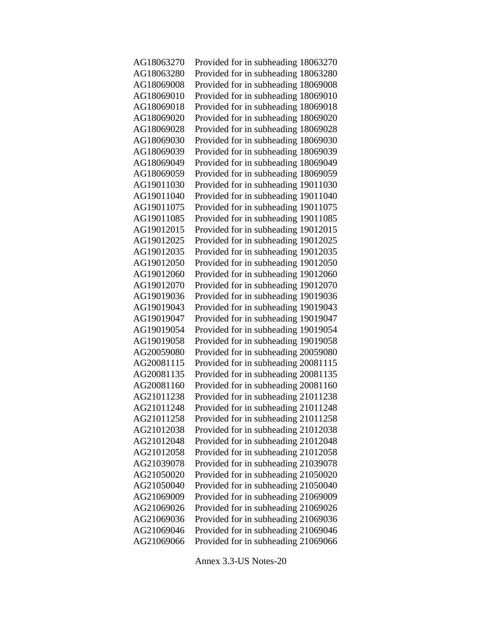| AG18063270 | Provided for in subheading 18063270 |
|------------|-------------------------------------|
| AG18063280 | Provided for in subheading 18063280 |
| AG18069008 | Provided for in subheading 18069008 |
| AG18069010 | Provided for in subheading 18069010 |
| AG18069018 | Provided for in subheading 18069018 |
| AG18069020 | Provided for in subheading 18069020 |
| AG18069028 | Provided for in subheading 18069028 |
| AG18069030 | Provided for in subheading 18069030 |
| AG18069039 | Provided for in subheading 18069039 |
| AG18069049 | Provided for in subheading 18069049 |
| AG18069059 | Provided for in subheading 18069059 |
| AG19011030 | Provided for in subheading 19011030 |
| AG19011040 | Provided for in subheading 19011040 |
| AG19011075 | Provided for in subheading 19011075 |
| AG19011085 | Provided for in subheading 19011085 |
| AG19012015 | Provided for in subheading 19012015 |
| AG19012025 | Provided for in subheading 19012025 |
| AG19012035 | Provided for in subheading 19012035 |
| AG19012050 | Provided for in subheading 19012050 |
| AG19012060 | Provided for in subheading 19012060 |
| AG19012070 | Provided for in subheading 19012070 |
| AG19019036 | Provided for in subheading 19019036 |
| AG19019043 | Provided for in subheading 19019043 |
| AG19019047 | Provided for in subheading 19019047 |
| AG19019054 | Provided for in subheading 19019054 |
| AG19019058 | Provided for in subheading 19019058 |
| AG20059080 | Provided for in subheading 20059080 |
| AG20081115 | Provided for in subheading 20081115 |
| AG20081135 | Provided for in subheading 20081135 |
| AG20081160 | Provided for in subheading 20081160 |
| AG21011238 | Provided for in subheading 21011238 |
| AG21011248 | Provided for in subheading 21011248 |
| AG21011258 | Provided for in subheading 21011258 |
| AG21012038 | Provided for in subheading 21012038 |
| AG21012048 | Provided for in subheading 21012048 |
| AG21012058 | Provided for in subheading 21012058 |
| AG21039078 | Provided for in subheading 21039078 |
| AG21050020 | Provided for in subheading 21050020 |
| AG21050040 | Provided for in subheading 21050040 |
| AG21069009 | Provided for in subheading 21069009 |
| AG21069026 | Provided for in subheading 21069026 |
| AG21069036 | Provided for in subheading 21069036 |
| AG21069046 | Provided for in subheading 21069046 |
| AG21069066 | Provided for in subheading 21069066 |